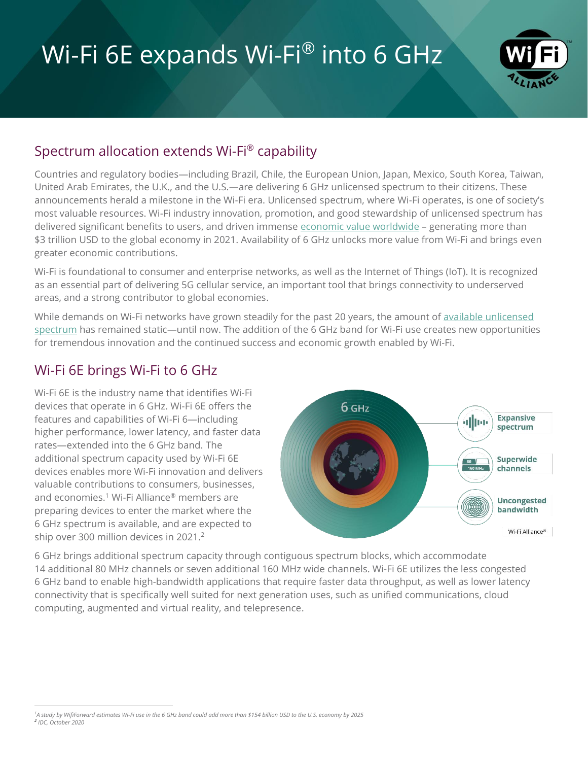# Wi-Fi 6E expands Wi-Fi® into 6 GHz



### Spectrum allocation extends Wi-Fi® capability

Countries and regulatory bodies—including Brazil, Chile, the European Union, Japan, Mexico, South Korea, Taiwan, United Arab Emirates, the U.K., and the U.S.—are delivering 6 GHz unlicensed spectrum to their citizens. These announcements herald a milestone in the Wi-Fi era. Unlicensed spectrum, where Wi-Fi operates, is one of society's most valuable resources. Wi-Fi industry innovation, promotion, and good stewardship of unlicensed spectrum has delivered significant benefits to users, and driven immense [economic value worldwide](http://www.valueofwifi.com/) - generating more than \$3 trillion USD to the global economy in 2021. Availability of 6 GHz unlocks more value from Wi-Fi and brings even greater economic contributions.

Wi-Fi is foundational to consumer and enterprise networks, as well as the Internet of Things (IoT). It is recognized as an essential part of delivering 5G cellular service, an important tool that brings connectivity to underserved areas, and a strong contributor to global economies.

While demands on Wi-Fi networks have grown steadily for the past 20 years, the amount of available unlicensed [spectrum](https://www.wi-fi.org/news-events/newsroom/additional-unlicensed-spectrum-needed-to-deliver-future-wi-fi-connectivity) has remained static—until now. The addition of the 6 GHz band for Wi-Fi use creates new opportunities for tremendous innovation and the continued success and economic growth enabled by Wi-Fi.

#### Wi-Fi 6E brings Wi-Fi to 6 GHz

Wi-Fi 6E is the industry name that identifies Wi-Fi devices that operate in 6 GHz. Wi-Fi 6E offers the features and capabilities of Wi-Fi 6—including higher performance, lower latency, and faster data rates—extended into the 6 GHz band. The additional spectrum capacity used by Wi-Fi 6E devices enables more Wi-Fi innovation and delivers valuable contributions to consumers, businesses, and economies.<sup>1</sup> Wi-Fi Alliance<sup>®</sup> members are preparing devices to enter the market where the 6 GHz spectrum is available, and are expected to ship over 300 million devices in 2021. 2



6 GHz brings additional spectrum capacity through contiguous spectrum blocks, which accommodate 14 additional 80 MHz channels or seven additional 160 MHz wide channels. Wi-Fi 6E utilizes the less congested 6 GHz band to enable high-bandwidth applications that require faster data throughput, as well as lower latency connectivity that is specifically well suited for next generation uses, such as unified communications, cloud computing, augmented and virtual reality, and telepresence.

*<sup>1</sup> A study by WifiForward estimates Wi-Fi use in the 6 GHz band could add more than \$154 billion USD to the U.S. economy by 2025 2 IDC, October 2020*